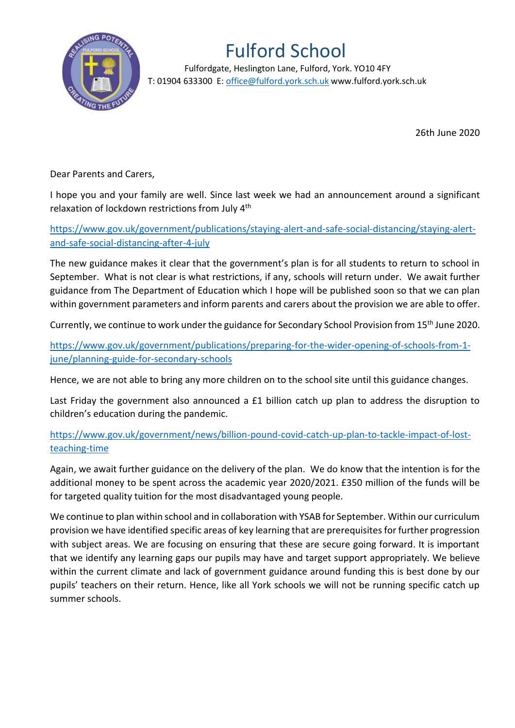

## Fulford School

 Fulfordgate, Heslington Lane, Fulford, York. YO10 4FY T: 01904 633300 E: office@fulford.york.sch.uk www.fulford.york.sch.uk

26th June 2020

Dear Parents and Carers,

I hope you and your family are well. Since last week we had an announcement around a significant relaxation of lockdown restrictions from July 4th

[https://www.gov.uk/government/publications/staying-alert-and-safe-social-distancing/staying-alert](https://www.gov.uk/government/publications/staying-alert-and-safe-social-distancing/staying-alert-and-safe-social-distancing-after-4-july)[and-safe-social-distancing-after-4-july](https://www.gov.uk/government/publications/staying-alert-and-safe-social-distancing/staying-alert-and-safe-social-distancing-after-4-july)

The new guidance makes it clear that the government's plan is for all students to return to school in September. What is not clear is what restrictions, if any, schools will return under. We await further guidance from The Department of Education which I hope will be published soon so that we can plan within government parameters and inform parents and carers about the provision we are able to offer.

Currently, we continue to work under the guidance for Secondary School Provision from 15th June 2020.

[https://www.gov.uk/government/publications/preparing-for-the-wider-opening-of-schools-from-1](https://www.gov.uk/government/publications/preparing-for-the-wider-opening-of-schools-from-1-june/planning-guide-for-secondary-schools) [june/planning-guide-for-secondary-schools](https://www.gov.uk/government/publications/preparing-for-the-wider-opening-of-schools-from-1-june/planning-guide-for-secondary-schools)

Hence, we are not able to bring any more children on to the school site until this guidance changes.

Last Friday the government also announced a £1 billion catch up plan to address the disruption to children's education during the pandemic.

[https://www.gov.uk/government/news/billion-pound-covid-catch-up-plan-to-tackle-impact-of-lost](https://www.gov.uk/government/news/billion-pound-covid-catch-up-plan-to-tackle-impact-of-lost-teaching-time)[teaching-time](https://www.gov.uk/government/news/billion-pound-covid-catch-up-plan-to-tackle-impact-of-lost-teaching-time)

Again, we await further guidance on the delivery of the plan. We do know that the intention is for the additional money to be spent across the academic year 2020/2021. £350 million of the funds will be for targeted quality tuition for the most disadvantaged young people.

We continue to plan within school and in collaboration with YSAB for September. Within our curriculum provision we have identified specific areas of key learning that are prerequisites for further progression with subject areas. We are focusing on ensuring that these are secure going forward. It is important that we identify any learning gaps our pupils may have and target support appropriately. We believe within the current climate and lack of government guidance around funding this is best done by our pupils' teachers on their return. Hence, like all York schools we will not be running specific catch up summer schools.